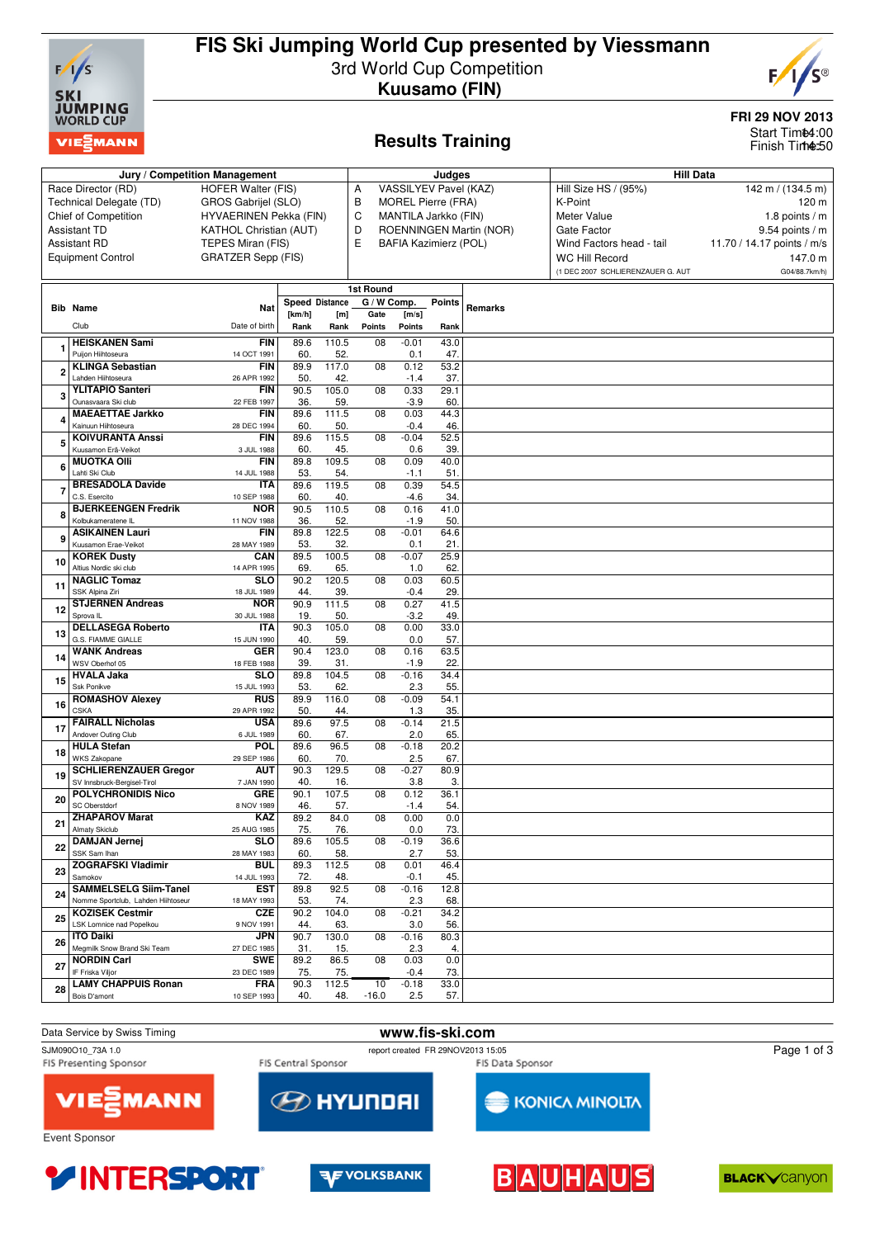

## **FIS Ski Jumping World Cup presented by Viessmann** 3rd World Cup Competition **Kuusamo (FIN)**



**FRI 29 NOV 2013** Start Tim**t4**:00 Finish Time:50

### **Results Training**

| Jury / Competition Management |                                                          |                               |                       |              |                 |                   |                           |                         | <b>Hill Data</b>                  |                            |  |  |
|-------------------------------|----------------------------------------------------------|-------------------------------|-----------------------|--------------|-----------------|-------------------|---------------------------|-------------------------|-----------------------------------|----------------------------|--|--|
|                               |                                                          |                               |                       |              |                 |                   | Judges                    |                         |                                   |                            |  |  |
|                               | Race Director (RD)                                       | HOFER Walter (FIS)            |                       |              | А               |                   | VASSILYEV Pavel (KAZ)     |                         | Hill Size HS / (95%)              | 142 m / $(134.5 m)$        |  |  |
|                               | Technical Delegate (TD)                                  | GROS Gabrijel (SLO)           |                       |              | в               |                   | <b>MOREL Pierre (FRA)</b> |                         | K-Point                           | 120 m                      |  |  |
|                               | Chief of Competition                                     | HYVAERINEN Pekka (FIN)        |                       |              | C               |                   | MANTILA Jarkko (FIN)      |                         | Meter Value                       | 1.8 points $/m$            |  |  |
|                               | <b>Assistant TD</b>                                      | <b>KATHOL Christian (AUT)</b> |                       |              | D               |                   |                           | ROENNINGEN Martin (NOR) | Gate Factor                       | $9.54$ points / m          |  |  |
|                               | <b>Assistant RD</b>                                      | TEPES Miran (FIS)             |                       |              | E               |                   | BAFIA Kazimierz (POL)     |                         | Wind Factors head - tail          | 11.70 / 14.17 points / m/s |  |  |
|                               | <b>Equipment Control</b>                                 | <b>GRATZER Sepp (FIS)</b>     |                       |              |                 |                   |                           |                         | <b>WC Hill Record</b>             | 147.0 m                    |  |  |
|                               |                                                          |                               |                       |              |                 |                   |                           |                         | (1 DEC 2007 SCHLIERENZAUER G. AUT | G04/88.7km/h)              |  |  |
|                               |                                                          |                               |                       |              |                 |                   |                           |                         |                                   |                            |  |  |
|                               |                                                          |                               |                       |              | 1st Round       |                   |                           |                         |                                   |                            |  |  |
|                               | <b>Bib Name</b>                                          | Nat                           | <b>Speed Distance</b> |              | G / W Comp.     |                   | Points                    | Remarks                 |                                   |                            |  |  |
|                               |                                                          |                               | [km/h]                | [m]          | Gate            | [m/s]             |                           |                         |                                   |                            |  |  |
|                               | Club                                                     | Date of birth                 | Rank                  | Rank         | Points          | Points            | Rank                      |                         |                                   |                            |  |  |
|                               | <b>HEISKANEN Sami</b>                                    | FIN                           | 89.6                  | 110.5        | 08              | $-0.01$           | 43.0                      |                         |                                   |                            |  |  |
|                               | Puijon Hiihtoseura                                       | 14 OCT 1991                   | 60.                   | 52.          |                 | 0.1               | 47.                       |                         |                                   |                            |  |  |
| 2                             | <b>KLINGA Sebastian</b><br>Lahden Hiihtoseura            | <b>FIN</b>                    | 89.9                  | 117.0        | 08              | 0.12              | 53.2                      |                         |                                   |                            |  |  |
|                               | <b>YLITAPIO Santeri</b>                                  | 26 APR 1992<br>FIN            | 50<br>90.5            | 42.<br>105.0 | 08              | $-1.4$<br>0.33    | 37.<br>29.1               |                         |                                   |                            |  |  |
| 3                             | Ounasvaara Ski club                                      | 22 FEB 1997                   | 36.                   | 59.          |                 | $-3.9$            | 60.                       |                         |                                   |                            |  |  |
|                               | <b>MAEAETTAE Jarkko</b>                                  | FIN                           | 89.6                  | 111.5        | 08              | 0.03              | 44.3                      |                         |                                   |                            |  |  |
|                               | Kainuun Hiihtoseura                                      | 28 DEC 1994                   | 60.                   | 50.          |                 | $-0.4$            | 46.                       |                         |                                   |                            |  |  |
|                               | <b>KOIVURANTA Anssi</b>                                  | <b>FIN</b>                    | 89.6                  | 115.5        | 08              | $-0.04$           | 52.5                      |                         |                                   |                            |  |  |
| 5                             | Kuusamon Erä-Veikot                                      | 3 JUL 1988                    | 60                    | 45.          |                 | 0.6               | 39.                       |                         |                                   |                            |  |  |
| 6                             | <b>MUOTKA OIII</b>                                       | <b>FIN</b>                    | 89.8                  | 109.5        | 08              | 0.09              | 40.0                      |                         |                                   |                            |  |  |
|                               | Lahti Ski Club                                           | 14 JUL 1988                   | 53.                   | 54.          |                 | $-1.1$            | 51                        |                         |                                   |                            |  |  |
| 7                             | <b>BRESADOLA Davide</b>                                  | ITA                           | 89.6                  | 119.5        | 08              | 0.39              | 54.5                      |                         |                                   |                            |  |  |
|                               | C.S. Esercito                                            | 10 SEP 1988                   | 60.                   | 40.          |                 | $-4.6$            | 34.                       |                         |                                   |                            |  |  |
| 8                             | <b>BJERKEENGEN Fredrik</b>                               | <b>NOR</b>                    | 90.5                  | 110.5        | 08              | 0.16              | 41.0                      |                         |                                   |                            |  |  |
|                               | Kolbukameratene IL<br><b>ASIKAINEN Lauri</b>             | 11 NOV 1988<br>FIN            | 36.<br>89.8           | 52.<br>122.5 | 08              | $-1.9$<br>$-0.01$ | 50.                       |                         |                                   |                            |  |  |
| 9                             | Kuusamon Erae-Veikot                                     | 28 MAY 1989                   | 53.                   | 32.          |                 | 0.1               | 64.6<br>21.               |                         |                                   |                            |  |  |
|                               | <b>KOREK Dusty</b>                                       | CAN                           | 89.5                  | 100.5        | 08              | $-0.07$           | 25.9                      |                         |                                   |                            |  |  |
| 10                            | Altius Nordic ski club                                   | 14 APR 1995                   | 69                    | 65.          |                 | 1.0               | 62                        |                         |                                   |                            |  |  |
|                               | <b>NAGLIC Tomaz</b>                                      | <b>SLO</b>                    | 90.2                  | 120.5        | 08              | 0.03              | 60.5                      |                         |                                   |                            |  |  |
| 11                            | SSK Alpina Ziri                                          | 18 JUL 1989                   | 44.                   | 39.          |                 | $-0.4$            | 29.                       |                         |                                   |                            |  |  |
| 12                            | <b>STJERNEN Andreas</b>                                  | <b>NOR</b>                    | 90.9                  | 111.5        | $\overline{08}$ | 0.27              | 41.5                      |                         |                                   |                            |  |  |
|                               | Sprova <sub>IL</sub>                                     | 30 JUL 1988                   | 19.                   | 50.          |                 | $-3.2$            | 49.                       |                         |                                   |                            |  |  |
| 13                            | <b>DELLASEGA Roberto</b>                                 | ITA                           | 90.3                  | 105.0        | $\overline{08}$ | 0.00              | 33.0                      |                         |                                   |                            |  |  |
|                               | G.S. FIAMME GIALLE                                       | 15 JUN 1990                   | 40.                   | 59.          |                 | 0.0               | 57                        |                         |                                   |                            |  |  |
| 14                            | <b>WANK Andreas</b><br>WSV Oberhof 05                    | <b>GER</b><br>18 FEB 1988     | 90.4<br>39.           | 123.0<br>31. | 08              | 0.16<br>$-1.9$    | 63.5<br>22.               |                         |                                   |                            |  |  |
|                               | <b>HVALA Jaka</b>                                        | <b>SLO</b>                    | 89.8                  | 104.5        | 08              | $-0.16$           | 34.4                      |                         |                                   |                            |  |  |
| 15                            | Ssk Ponikve                                              | 15 JUL 1993                   | 53                    | 62           |                 | 2.3               | 55.                       |                         |                                   |                            |  |  |
|                               | <b>ROMASHOV Alexey</b>                                   | <b>RUS</b>                    | 89.9                  | 116.0        | 08              | $-0.09$           | 54.1                      |                         |                                   |                            |  |  |
| 16                            | <b>CSKA</b>                                              | 29 APR 1992                   | 50.                   | 44.          |                 | 1.3               | 35.                       |                         |                                   |                            |  |  |
| 17                            | <b>FAIRALL Nicholas</b>                                  | <b>USA</b>                    | 89.6                  | 97.5         | 08              | $-0.14$           | 21.5                      |                         |                                   |                            |  |  |
|                               | Andover Outing Club                                      | 6 JUL 1989                    | 60.                   | 67.          |                 | 2.0               | 65.                       |                         |                                   |                            |  |  |
| 18                            | <b>HULA Stefan</b>                                       | <b>POL</b>                    | 89.6                  | 96.5         | 08              | $-0.18$           | 20.2                      |                         |                                   |                            |  |  |
|                               | <b>WKS Zakopane</b>                                      | 29 SEP 1986                   | 60                    | 70.          |                 | 2.5               | 67.                       |                         |                                   |                            |  |  |
| 19                            | <b>SCHLIERENZAUER Gregor</b>                             | AUT                           | 90.3                  | 129.5        | 08              | $-0.27$           | 80.9                      |                         |                                   |                            |  |  |
|                               | SV Innsbruck-Bergisel-Tirol<br><b>POLYCHRONIDIS Nico</b> | 7 JAN 1990<br><b>GRE</b>      | 40.<br>90.1           | 16.<br>107.5 | 08              | 3.8<br>0.12       | 3.<br>36.1                |                         |                                   |                            |  |  |
| 20                            | SC Oberstdorf                                            | 8 NOV 1989                    | 46.                   | 57.          |                 | $-1.4$            | 54.                       |                         |                                   |                            |  |  |
|                               | <b>ZHAPAROV Marat</b>                                    | <b>KAZ</b>                    | 89.2                  | 84.0         | 08              | 0.00              | 0.0                       |                         |                                   |                            |  |  |
| 21                            | Almaty Skiclub                                           | 25 AUG 1985                   | 75.                   | 76.          |                 | 0.0               | 73.                       |                         |                                   |                            |  |  |
| 22                            | <b>DAMJAN Jernej</b>                                     | <b>SLO</b>                    | 89.6                  | 105.5        | 08              | $-0.19$           | 36.6                      |                         |                                   |                            |  |  |
|                               | SSK Sam Ihan                                             | 28 MAY 1983                   | 60.                   | 58.          |                 | 2.7               | 53.                       |                         |                                   |                            |  |  |
| 23                            | <b>ZOGRAFSKI Vladimir</b>                                | BUL                           | 89.3                  | 112.5        | 08              | 0.01              | 46.4                      |                         |                                   |                            |  |  |
|                               | Samokov                                                  | 14 JUL 1993                   | 72.                   | 48.          |                 | $-0.1$            | 45.                       |                         |                                   |                            |  |  |
| 24                            | <b>SAMMELSELG Siim-Tanel</b>                             | <b>EST</b>                    | 89.8                  | 92.5         | 08              | $-0.16$           | 12.8                      |                         |                                   |                            |  |  |
|                               | Nomme Sportclub, Lahden Hiihtoseur                       | 18 MAY 1993                   | 53.                   | 74.          |                 | 2.3               | 68.                       |                         |                                   |                            |  |  |
| 25                            | <b>KOZISEK Cestmir</b><br>LSK Lomnice nad Popelkou       | <b>CZE</b><br>9 NOV 1991      | 90.2<br>44.           | 104.0<br>63. | 08              | $-0.21$<br>3.0    | 34.2<br>56.               |                         |                                   |                            |  |  |
|                               | <b>ITO Daiki</b>                                         | JPN                           | 90.7                  | 130.0        | 08              | $-0.16$           | 80.3                      |                         |                                   |                            |  |  |
| 26                            | Megmilk Snow Brand Ski Team                              | 27 DEC 1985                   | 31.                   | 15.          |                 | 2.3               | 4.                        |                         |                                   |                            |  |  |
|                               | <b>NORDIN Carl</b>                                       | <b>SWE</b>                    | 89.2                  | 86.5         | 08              | 0.03              | 0.0                       |                         |                                   |                            |  |  |
| 27                            | IF Friska Viljor                                         | 23 DEC 1989                   | 75.                   | 75.          |                 | $-0.4$            | 73.                       |                         |                                   |                            |  |  |
| 28                            | <b>LAMY CHAPPUIS Ronan</b>                               | <b>FRA</b>                    | 90.3                  | 112.5        | 10              | $-0.18$           | 33.0                      |                         |                                   |                            |  |  |
|                               | Bois D'amont                                             | 10 SEP 1993                   | 40.                   | 48.          | $-16.0$         | 2.5               | 57.                       |                         |                                   |                            |  |  |

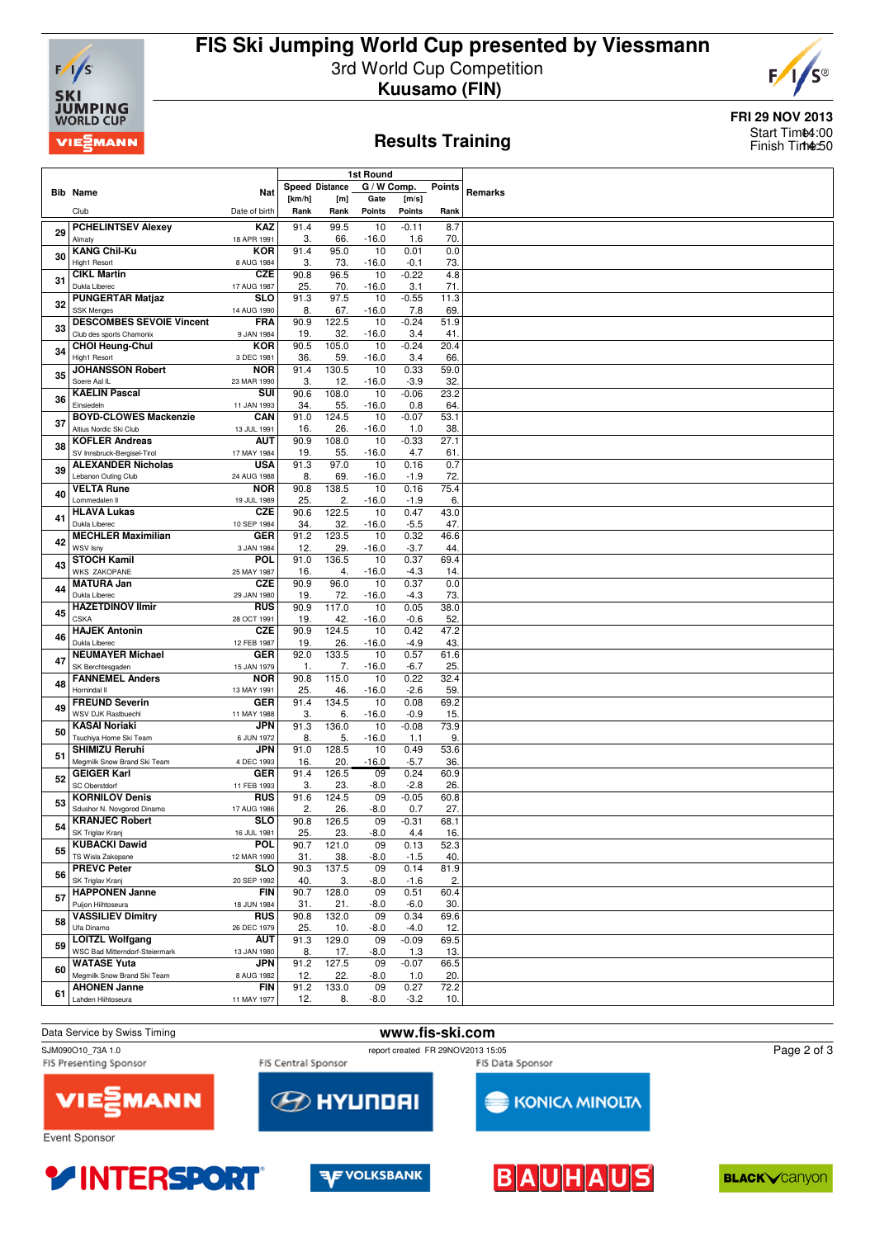

## **FIS Ski Jumping World Cup presented by Viessmann** 3rd World Cup Competition **Kuusamo (FIN)**



#### **Results Training**

**FRI 29 NOV 2013** Start Tim**t4**:00 Finish Time:50

|    |                                                    |                           |              |                       | <b>1st Round</b> |                |               |         |
|----|----------------------------------------------------|---------------------------|--------------|-----------------------|------------------|----------------|---------------|---------|
|    |                                                    |                           |              | <b>Speed Distance</b> | G / W Comp.      |                | <b>Points</b> |         |
|    | <b>Bib Name</b>                                    | Nat                       | [km/h]       | [m]                   | Gate             | [m/s]          |               | Remarks |
|    | Club                                               | Date of birth             | Rank         | Rank                  | Points           | <b>Points</b>  | Rank          |         |
|    | <b>PCHELINTSEV Alexey</b>                          | <b>KAZ</b>                | 91.4         | 99.5                  | 10               | $-0.11$        | 8.7           |         |
| 29 | Almaty                                             | 18 APR 1991               | 3.           | 66.                   | $-16.0$          | 1.6            | 70.           |         |
| 30 | <b>KANG Chil-Ku</b>                                | <b>KOR</b>                | 91.4         | 95.0                  | 10               | 0.01           | 0.0           |         |
|    | High1 Resort                                       | 8 AUG 1984                | 3.           | 73.                   | $-16.0$          | $-0.1$         | 73.           |         |
| 31 | <b>CIKL Martin</b><br>Dukla Liberec                | <b>CZE</b><br>17 AUG 1987 | 90.8         | 96.5<br>70.           | 10               | $-0.22$        | 4.8           |         |
|    | <b>PUNGERTAR Matjaz</b>                            | <b>SLO</b>                | 25.<br>91.3  | 97.5                  | $-16.0$<br>10    | 3.1<br>$-0.55$ | 71.<br>11.3   |         |
| 32 | <b>SSK Menges</b>                                  | 14 AUG 1990               | 8.           | 67.                   | $-16.0$          | 7.8            | 69.           |         |
| 33 | <b>DESCOMBES SEVOIE Vincent</b>                    | <b>FRA</b>                | 90.9         | 122.5                 | 10               | $-0.24$        | 51.9          |         |
|    | Club des sports Chamonix                           | 9 JAN 1984                | 19.          | 32.                   | $-16.0$          | 3.4            | 41.           |         |
| 34 | <b>CHOI Heung-Chul</b>                             | <b>KOR</b>                | 90.5         | 105.0                 | 10               | $-0.24$        | 20.4          |         |
|    | High1 Resort<br><b>JOHANSSON Robert</b>            | 3 DEC 1981<br><b>NOR</b>  | 36.<br>91.4  | 59.<br>130.5          | $-16.0$<br>10    | 3.4<br>0.33    | 66.<br>59.0   |         |
| 35 | Soere Aal IL                                       | 23 MAR 1990               | 3.           | 12.                   | $-16.0$          | $-3.9$         | 32.           |         |
|    | <b>KAELIN Pascal</b>                               | SUI                       | 90.6         | 108.0                 | 10               | $-0.06$        | 23.2          |         |
| 36 | Einsiedeln                                         | 11 JAN 1993               | 34.          | 55.                   | $-16.0$          | 0.8            | 64.           |         |
| 37 | <b>BOYD-CLOWES Mackenzie</b>                       | CAN                       | 91.0         | 124.5                 | 10               | $-0.07$        | 53.1          |         |
|    | Altius Nordic Ski Club<br><b>KOFLER Andreas</b>    | 13 JUL 1991<br><b>AUT</b> | 16.<br>90.9  | 26.<br>108.0          | $-16.0$<br>10    | 1.0            | 38.<br>27.1   |         |
| 38 | SV Innsbruck-Bergisel-Tirol                        | 17 MAY 1984               | 19.          | 55.                   | $-16.0$          | $-0.33$<br>4.7 | 61.           |         |
|    | <b>ALEXANDER Nicholas</b>                          | <b>USA</b>                | 91.3         | 97.0                  | 10               | 0.16           | 0.7           |         |
| 39 | Lebanon Outing Club                                | 24 AUG 1988               | 8.           | 69.                   | $-16.0$          | $-1.9$         | 72.           |         |
| 40 | <b>VELTA Rune</b>                                  | <b>NOR</b>                | 90.8         | 138.5                 | 10               | 0.16           | 75.4          |         |
|    | Lommedalen II                                      | 19 JUL 1989               | 25.          | 2.                    | $-16.0$          | $-1.9$         | 6.            |         |
| 41 | <b>HLAVA Lukas</b><br>Dukla Liberec                | <b>CZE</b><br>10 SEP 1984 | 90.6<br>34.  | 122.5<br>32.          | 10<br>$-16.0$    | 0.47<br>$-5.5$ | 43.0<br>47.   |         |
|    | <b>MECHLER Maximilian</b>                          | <b>GER</b>                | 91.2         | 123.5                 | 10               | 0.32           | 46.6          |         |
| 42 | WSV Isny                                           | 3 JAN 1984                | 12.          | 29.                   | $-16.0$          | $-3.7$         | 44.           |         |
| 43 | <b>STOCH Kamil</b>                                 | POL                       | 91.0         | 136.5                 | 10               | 0.37           | 69.4          |         |
|    | <b>WKS ZAKOPANE</b><br><b>MATURA Jan</b>           | 25 MAY 1987<br><b>CZE</b> | 16.<br>90.9  | 4.<br>96.0            | $-16.0$<br>10    | $-4.3$<br>0.37 | 14.<br>0.0    |         |
| 44 | Dukla Liberec                                      | 29 JAN 1980               | 19.          | 72.                   | $-16.0$          | $-4.3$         | 73.           |         |
|    | <b>HAZETDINOV Ilmir</b>                            | <b>RUS</b>                | 90.9         | 117.0                 | 10               | 0.05           | 38.0          |         |
| 45 | <b>CSKA</b>                                        | 28 OCT 1991               | 19.          | 42.                   | $-16.0$          | $-0.6$         | 52.           |         |
| 46 | <b>HAJEK Antonin</b><br>Dukla Liberec              | <b>CZE</b>                | 90.9         | 124.5                 | 10               | 0.42           | 47.2          |         |
|    | <b>NEUMAYER Michael</b>                            | 12 FEB 1987<br><b>GER</b> | 19.<br>92.0  | 26.<br>133.5          | $-16.0$<br>10    | $-4.9$<br>0.57 | 43.<br>61.6   |         |
| 47 | SK Berchtesgaden                                   | 15 JAN 1979               | $\mathbf{1}$ | 7.                    | $-16.0$          | $-6.7$         | 25.           |         |
| 48 | <b>FANNEMEL Anders</b>                             | <b>NOR</b>                | 90.8         | 115.0                 | 10               | 0.22           | 32.4          |         |
|    | Hornindal II                                       | 13 MAY 1991               | 25.          | 46.                   | $-16.0$          | $-2.6$         | 59.           |         |
| 49 | <b>FREUND Severin</b><br><b>WSV DJK Rastbuechl</b> | <b>GER</b><br>11 MAY 1988 | 91.4<br>3.   | 134.5<br>6.           | 10<br>$-16.0$    | 0.08<br>$-0.9$ | 69.2<br>15.   |         |
|    | <b>KASAI Noriaki</b>                               | JPN                       | 91.3         | 136.0                 | 10               | $-0.08$        | 73.9          |         |
| 50 | Tsuchiya Home Ski Team                             | 6 JUN 1972                | 8.           | 5.                    | $-16.0$          | 1.1            | 9.            |         |
| 51 | <b>SHIMIZU Reruhi</b>                              | JPN                       | 91.0         | 128.5                 | 10               | 0.49           | 53.6          |         |
|    | Megmilk Snow Brand Ski Team                        | 4 DEC 1993                | 16.          | 20.                   | $-16.0$          | $-5.7$         | 36.           |         |
| 52 | <b>GEIGER Karl</b><br>SC Oberstdorf                | <b>GER</b><br>11 FEB 1993 | 91.4<br>3.   | 126.5<br>23.          | 09<br>$-8.0$     | 0.24<br>$-2.8$ | 60.9<br>26.   |         |
|    | <b>KORNILOV Denis</b>                              | <b>RUS</b>                | 91.6         | 124.5                 | 09               | $-0.05$        | 60.8          |         |
| 53 | Sdushor N. Novgorod Dinamo                         | 17 AUG 1986               | 2.           | 26.                   | $-8.0$           | 0.7            | 27.           |         |
| 54 | <b>KRANJEC Robert</b>                              | SLO                       | 90.8         | 126.5                 | 09               | $-0.31$        | 68.1          |         |
|    | SK Triglav Kranj                                   | 16 JUL 1981               | 25.          | 23.                   | $-8.0$           | 4.4            | 16.           |         |
| 55 | <b>KUBACKI Dawid</b><br>TS Wisla Zakopane          | POL<br>12 MAR 1990        | 90.7<br>31.  | 121.0<br>38.          | 09<br>$-8.0$     | 0.13<br>$-1.5$ | 52.3<br>40.   |         |
|    | <b>PREVC Peter</b>                                 | <b>SLO</b>                | 90.3         | 137.5                 | 09               | 0.14           | 81.9          |         |
| 56 | SK Triglav Kranj                                   | 20 SEP 1992               | 40.          | 3.                    | $-8.0$           | $-1.6$         | 2.            |         |
| 57 | <b>HAPPONEN Janne</b>                              | <b>FIN</b>                | 90.7         | 128.0                 | 09               | 0.51           | 60.4          |         |
|    | Puijon Hiihtoseura                                 | 18 JUN 1984               | 31.          | 21.                   | $-8.0$           | $-6.0$         | 30.           |         |
| 58 | <b>VASSILIEV Dimitry</b><br>Ufa Dinamo             | <b>RUS</b><br>26 DEC 1979 | 90.8<br>25.  | 132.0<br>10.          | 09<br>$-8.0$     | 0.34<br>$-4.0$ | 69.6<br>12.   |         |
|    | <b>LOITZL Wolfgang</b>                             | <b>AUT</b>                | 91.3         | 129.0                 | 09               | $-0.09$        | 69.5          |         |
| 59 | WSC Bad Mitterndorf-Steiermark                     | 13 JAN 1980               | 8.           | 17.                   | $-8.0$           | 1.3            | 13.           |         |
| 60 | <b>WATASE Yuta</b>                                 | <b>JPN</b>                | 91.2         | 127.5                 | 09               | $-0.07$        | 66.5          |         |
|    | Megmilk Snow Brand Ski Team                        | 8 AUG 1982                | 12.          | 22.                   | $-8.0$           | 1.0            | 20.           |         |
| 61 | <b>AHONEN Janne</b><br>Lahden Hiihtoseura          | <b>FIN</b><br>11 MAY 1977 | 91.2<br>12.  | 133.0<br>8.           | 09<br>$-8.0$     | 0.27<br>$-3.2$ | 72.2<br>10.   |         |
|    |                                                    |                           |              |                       |                  |                |               |         |